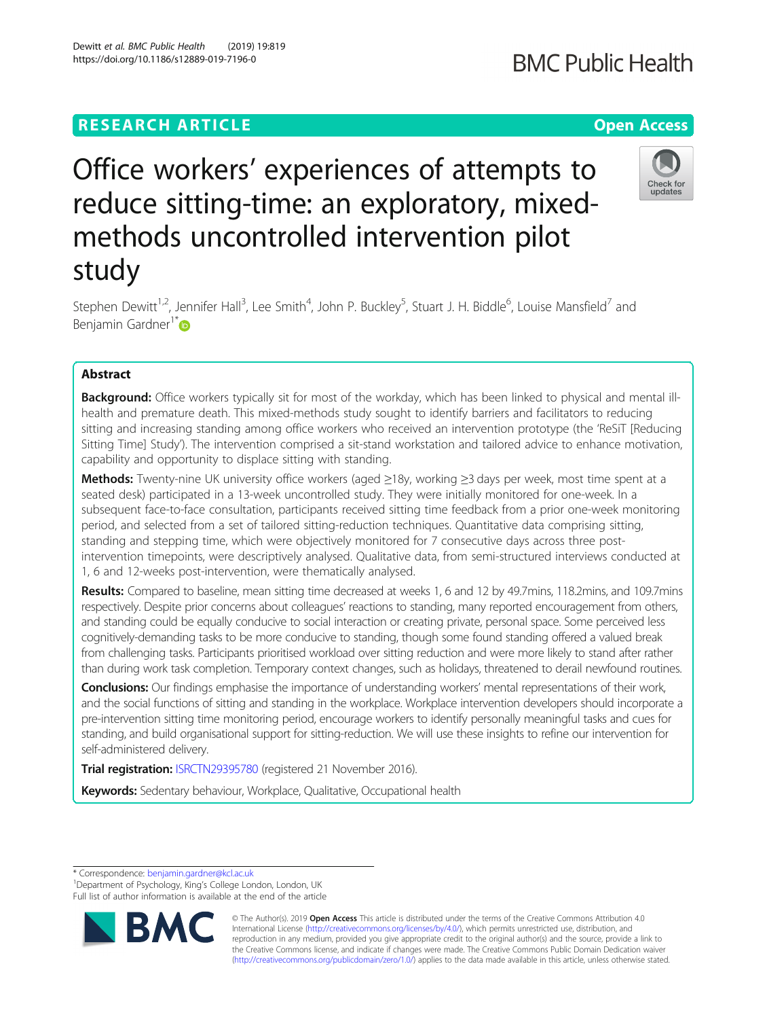## **RESEARCH ARTICLE Example 2018 12:30 THE Open Access**

# Office workers' experiences of attempts to reduce sitting-time: an exploratory, mixedmethods uncontrolled intervention pilot study

Stephen Dewitt<sup>1,2</sup>, Jennifer Hall<sup>3</sup>, Lee Smith<sup>4</sup>, John P. Buckley<sup>5</sup>, Stuart J. H. Biddle<sup>6</sup>, Louise Mansfield<sup>7</sup> and Benjamin Gardner<sup>1\*</sup> $\bullet$ 

## Abstract

Background: Office workers typically sit for most of the workday, which has been linked to physical and mental illhealth and premature death. This mixed-methods study sought to identify barriers and facilitators to reducing sitting and increasing standing among office workers who received an intervention prototype (the 'ReSiT [Reducing Sitting Time] Study'). The intervention comprised a sit-stand workstation and tailored advice to enhance motivation, capability and opportunity to displace sitting with standing.

Methods: Twenty-nine UK university office workers (aged ≥18y, working ≥3 days per week, most time spent at a seated desk) participated in a 13-week uncontrolled study. They were initially monitored for one-week. In a subsequent face-to-face consultation, participants received sitting time feedback from a prior one-week monitoring period, and selected from a set of tailored sitting-reduction techniques. Quantitative data comprising sitting, standing and stepping time, which were objectively monitored for 7 consecutive days across three postintervention timepoints, were descriptively analysed. Qualitative data, from semi-structured interviews conducted at 1, 6 and 12-weeks post-intervention, were thematically analysed.

Results: Compared to baseline, mean sitting time decreased at weeks 1, 6 and 12 by 49.7mins, 118.2mins, and 109.7mins respectively. Despite prior concerns about colleagues' reactions to standing, many reported encouragement from others, and standing could be equally conducive to social interaction or creating private, personal space. Some perceived less cognitively-demanding tasks to be more conducive to standing, though some found standing offered a valued break from challenging tasks. Participants prioritised workload over sitting reduction and were more likely to stand after rather than during work task completion. Temporary context changes, such as holidays, threatened to derail newfound routines.

Conclusions: Our findings emphasise the importance of understanding workers' mental representations of their work, and the social functions of sitting and standing in the workplace. Workplace intervention developers should incorporate a pre-intervention sitting time monitoring period, encourage workers to identify personally meaningful tasks and cues for standing, and build organisational support for sitting-reduction. We will use these insights to refine our intervention for self-administered delivery.

Trial registration: [ISRCTN29395780](http://www.isrctn.com/ISRCTN29395780) (registered 21 November 2016).

Keywords: Sedentary behaviour, Workplace, Qualitative, Occupational health

\* Correspondence: [benjamin.gardner@kcl.ac.uk](mailto:benjamin.gardner@kcl.ac.uk) <sup>1</sup>

BA

<sup>1</sup>Department of Psychology, King's College London, London, UK Full list of author information is available at the end of the article



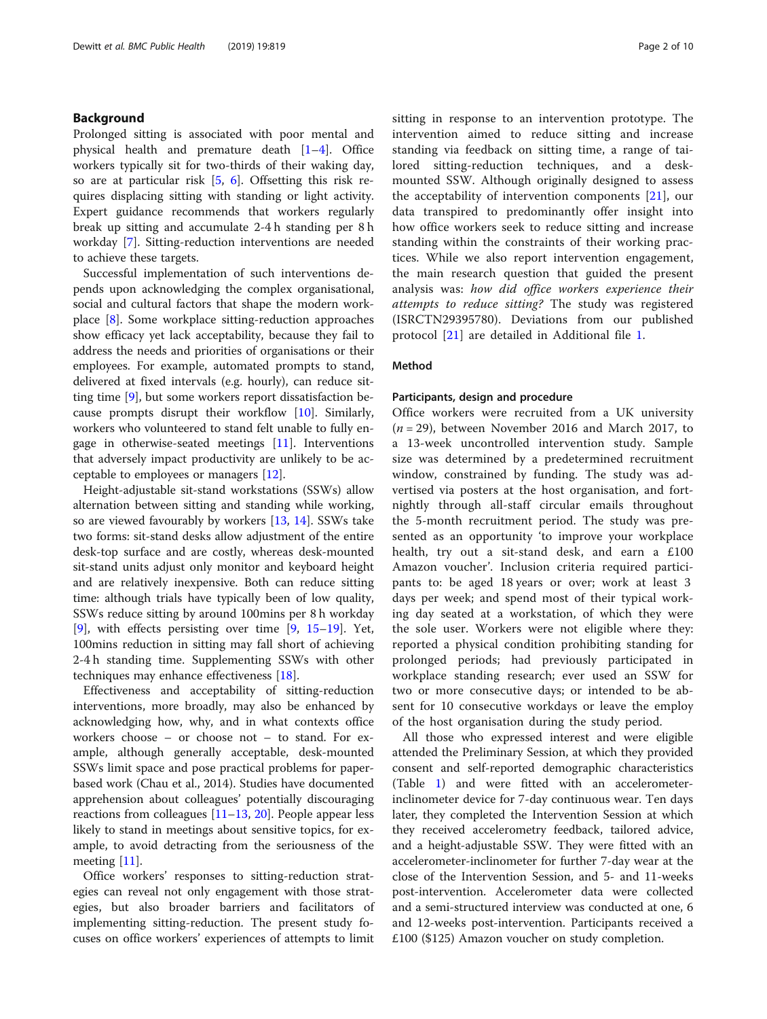## Background

Prolonged sitting is associated with poor mental and physical health and premature death [[1](#page-8-0)–[4\]](#page-8-0). Office workers typically sit for two-thirds of their waking day, so are at particular risk [\[5](#page-8-0), [6\]](#page-8-0). Offsetting this risk requires displacing sitting with standing or light activity. Expert guidance recommends that workers regularly break up sitting and accumulate 2-4 h standing per 8 h workday [[7\]](#page-8-0). Sitting-reduction interventions are needed to achieve these targets.

Successful implementation of such interventions depends upon acknowledging the complex organisational, social and cultural factors that shape the modern workplace [\[8\]](#page-8-0). Some workplace sitting-reduction approaches show efficacy yet lack acceptability, because they fail to address the needs and priorities of organisations or their employees. For example, automated prompts to stand, delivered at fixed intervals (e.g. hourly), can reduce sitting time [[9\]](#page-8-0), but some workers report dissatisfaction because prompts disrupt their workflow [[10](#page-8-0)]. Similarly, workers who volunteered to stand felt unable to fully engage in otherwise-seated meetings [[11\]](#page-8-0). Interventions that adversely impact productivity are unlikely to be acceptable to employees or managers [[12\]](#page-8-0).

Height-adjustable sit-stand workstations (SSWs) allow alternation between sitting and standing while working, so are viewed favourably by workers [\[13,](#page-9-0) [14](#page-9-0)]. SSWs take two forms: sit-stand desks allow adjustment of the entire desk-top surface and are costly, whereas desk-mounted sit-stand units adjust only monitor and keyboard height and are relatively inexpensive. Both can reduce sitting time: although trials have typically been of low quality, SSWs reduce sitting by around 100mins per 8 h workday [[9\]](#page-8-0), with effects persisting over time [[9,](#page-8-0) [15](#page-9-0)–[19\]](#page-9-0). Yet, 100mins reduction in sitting may fall short of achieving 2-4 h standing time. Supplementing SSWs with other techniques may enhance effectiveness [\[18](#page-9-0)].

Effectiveness and acceptability of sitting-reduction interventions, more broadly, may also be enhanced by acknowledging how, why, and in what contexts office workers choose – or choose not – to stand. For example, although generally acceptable, desk-mounted SSWs limit space and pose practical problems for paperbased work (Chau et al., 2014). Studies have documented apprehension about colleagues' potentially discouraging reactions from colleagues [[11](#page-8-0)–[13,](#page-9-0) [20](#page-9-0)]. People appear less likely to stand in meetings about sensitive topics, for example, to avoid detracting from the seriousness of the meeting [[11](#page-8-0)].

Office workers' responses to sitting-reduction strategies can reveal not only engagement with those strategies, but also broader barriers and facilitators of implementing sitting-reduction. The present study focuses on office workers' experiences of attempts to limit sitting in response to an intervention prototype. The intervention aimed to reduce sitting and increase standing via feedback on sitting time, a range of tailored sitting-reduction techniques, and a deskmounted SSW. Although originally designed to assess the acceptability of intervention components [[21\]](#page-9-0), our data transpired to predominantly offer insight into how office workers seek to reduce sitting and increase standing within the constraints of their working practices. While we also report intervention engagement, the main research question that guided the present analysis was: how did office workers experience their attempts to reduce sitting? The study was registered (ISRCTN29395780). Deviations from our published protocol [[21\]](#page-9-0) are detailed in Additional file [1](#page-8-0).

## Method

#### Participants, design and procedure

Office workers were recruited from a UK university  $(n = 29)$ , between November 2016 and March 2017, to a 13-week uncontrolled intervention study. Sample size was determined by a predetermined recruitment window, constrained by funding. The study was advertised via posters at the host organisation, and fortnightly through all-staff circular emails throughout the 5-month recruitment period. The study was presented as an opportunity 'to improve your workplace health, try out a sit-stand desk, and earn a £100 Amazon voucher'. Inclusion criteria required participants to: be aged 18 years or over; work at least 3 days per week; and spend most of their typical working day seated at a workstation, of which they were the sole user. Workers were not eligible where they: reported a physical condition prohibiting standing for prolonged periods; had previously participated in workplace standing research; ever used an SSW for two or more consecutive days; or intended to be absent for 10 consecutive workdays or leave the employ of the host organisation during the study period.

All those who expressed interest and were eligible attended the Preliminary Session, at which they provided consent and self-reported demographic characteristics (Table [1](#page-2-0)) and were fitted with an accelerometerinclinometer device for 7-day continuous wear. Ten days later, they completed the Intervention Session at which they received accelerometry feedback, tailored advice, and a height-adjustable SSW. They were fitted with an accelerometer-inclinometer for further 7-day wear at the close of the Intervention Session, and 5- and 11-weeks post-intervention. Accelerometer data were collected and a semi-structured interview was conducted at one, 6 and 12-weeks post-intervention. Participants received a £100 (\$125) Amazon voucher on study completion.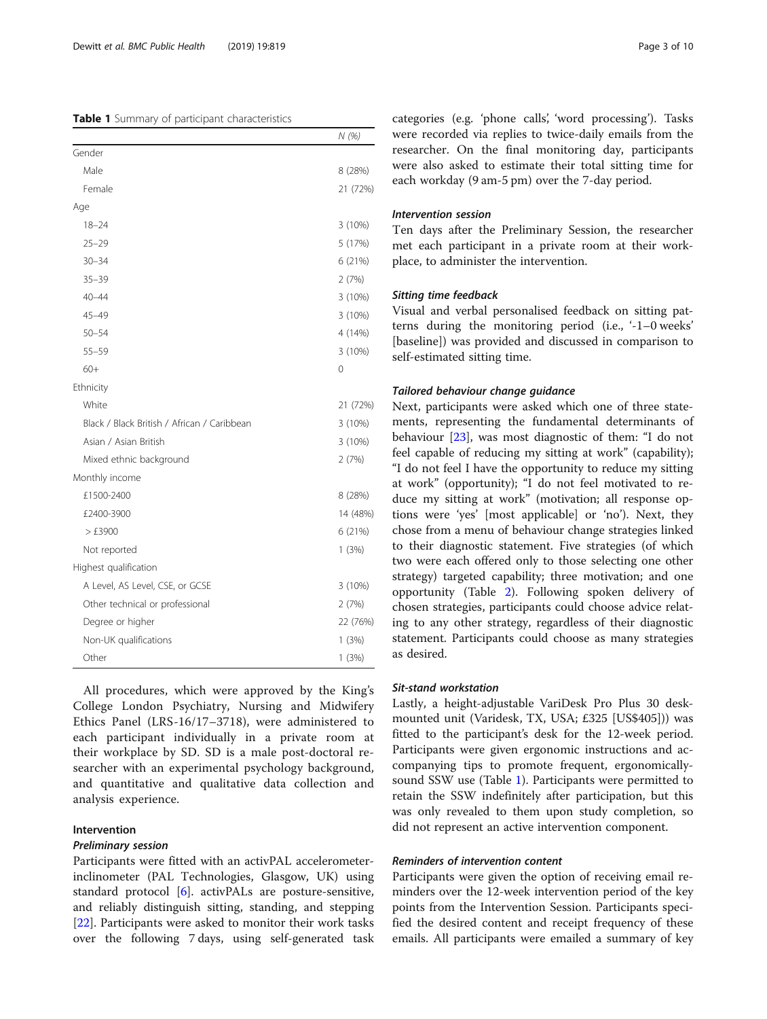## <span id="page-2-0"></span>Table 1 Summary of participant characteristics

|                                             | N(%)     |
|---------------------------------------------|----------|
| Gender                                      |          |
| Male                                        | 8 (28%)  |
| Female                                      | 21 (72%) |
| Age                                         |          |
| $18 - 24$                                   | 3 (10%)  |
| $25 - 29$                                   | 5 (17%)  |
| $30 - 34$                                   | 6 (21%)  |
| $35 - 39$                                   | 2(7%)    |
| $40 - 44$                                   | 3 (10%)  |
| 45-49                                       | 3(10%)   |
| $50 - 54$                                   | 4 (14%)  |
| $55 - 59$                                   | 3(10%)   |
| $60+$                                       | 0        |
| Ethnicity                                   |          |
| White                                       | 21 (72%) |
| Black / Black British / African / Caribbean | 3(10%)   |
| Asian / Asian British                       | 3(10%)   |
| Mixed ethnic background                     | 2(7%)    |
| Monthly income                              |          |
| £1500-2400                                  | 8 (28%)  |
| £2400-3900                                  | 14 (48%) |
| >£3900                                      | 6 (21%)  |
| Not reported                                | 1(3%)    |
| Highest qualification                       |          |
| A Level, AS Level, CSE, or GCSE             | 3(10%)   |
| Other technical or professional             | 2(7%)    |
| Degree or higher                            | 22 (76%) |
| Non-UK qualifications                       | 1(3%)    |
| Other                                       | 1(3%)    |

All procedures, which were approved by the King's College London Psychiatry, Nursing and Midwifery Ethics Panel (LRS-16/17–3718), were administered to each participant individually in a private room at their workplace by SD. SD is a male post-doctoral researcher with an experimental psychology background, and quantitative and qualitative data collection and analysis experience.

## Intervention

#### Preliminary session

Participants were fitted with an activPAL accelerometerinclinometer (PAL Technologies, Glasgow, UK) using standard protocol [\[6](#page-8-0)]. activPALs are posture-sensitive, and reliably distinguish sitting, standing, and stepping [[22\]](#page-9-0). Participants were asked to monitor their work tasks over the following 7 days, using self-generated task categories (e.g. 'phone calls', 'word processing'). Tasks were recorded via replies to twice-daily emails from the researcher. On the final monitoring day, participants were also asked to estimate their total sitting time for each workday (9 am-5 pm) over the 7-day period.

## Intervention session

Ten days after the Preliminary Session, the researcher met each participant in a private room at their workplace, to administer the intervention.

#### Sitting time feedback

Visual and verbal personalised feedback on sitting patterns during the monitoring period (i.e., '-1–0 weeks' [baseline]) was provided and discussed in comparison to self-estimated sitting time.

#### Tailored behaviour change guidance

Next, participants were asked which one of three statements, representing the fundamental determinants of behaviour [\[23](#page-9-0)], was most diagnostic of them: "I do not feel capable of reducing my sitting at work" (capability); "I do not feel I have the opportunity to reduce my sitting at work" (opportunity); "I do not feel motivated to reduce my sitting at work" (motivation; all response options were 'yes' [most applicable] or 'no'). Next, they chose from a menu of behaviour change strategies linked to their diagnostic statement. Five strategies (of which two were each offered only to those selecting one other strategy) targeted capability; three motivation; and one opportunity (Table [2](#page-3-0)). Following spoken delivery of chosen strategies, participants could choose advice relating to any other strategy, regardless of their diagnostic statement. Participants could choose as many strategies as desired.

## Sit-stand workstation

Lastly, a height-adjustable VariDesk Pro Plus 30 deskmounted unit (Varidesk, TX, USA; £325 [US\$405])) was fitted to the participant's desk for the 12-week period. Participants were given ergonomic instructions and accompanying tips to promote frequent, ergonomicallysound SSW use (Table 1). Participants were permitted to retain the SSW indefinitely after participation, but this was only revealed to them upon study completion, so did not represent an active intervention component.

#### Reminders of intervention content

Participants were given the option of receiving email reminders over the 12-week intervention period of the key points from the Intervention Session. Participants specified the desired content and receipt frequency of these emails. All participants were emailed a summary of key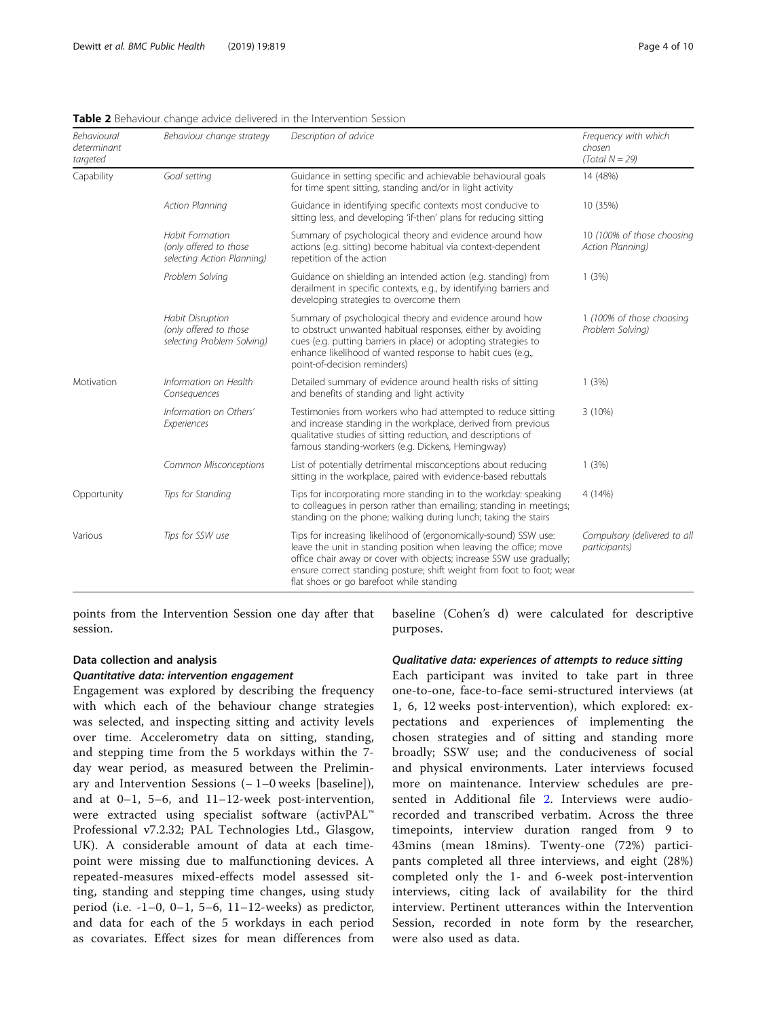<span id="page-3-0"></span>

|  | <b>Table 2</b> Behaviour change advice delivered in the Intervention Session |
|--|------------------------------------------------------------------------------|
|  |                                                                              |

| Behavioural<br>determinant<br>targeted | Behaviour change strategy                                                       | Description of advice                                                                                                                                                                                                                                                                                                              | Frequency with which<br>chosen<br>$(Total N = 29)$ |
|----------------------------------------|---------------------------------------------------------------------------------|------------------------------------------------------------------------------------------------------------------------------------------------------------------------------------------------------------------------------------------------------------------------------------------------------------------------------------|----------------------------------------------------|
| Capability                             | Goal setting                                                                    | Guidance in setting specific and achievable behavioural goals<br>for time spent sitting, standing and/or in light activity                                                                                                                                                                                                         | 14 (48%)                                           |
|                                        | <b>Action Planning</b>                                                          | Guidance in identifying specific contexts most conducive to<br>sitting less, and developing 'if-then' plans for reducing sitting                                                                                                                                                                                                   | 10 (35%)                                           |
|                                        | <b>Habit Formation</b><br>(only offered to those<br>selecting Action Planning)  | Summary of psychological theory and evidence around how<br>actions (e.g. sitting) become habitual via context-dependent<br>repetition of the action                                                                                                                                                                                | 10 (100% of those choosing<br>Action Planning)     |
|                                        | Problem Solving                                                                 | Guidance on shielding an intended action (e.g. standing) from<br>derailment in specific contexts, e.g., by identifying barriers and<br>developing strategies to overcome them                                                                                                                                                      | 1(3%)                                              |
|                                        | <b>Habit Disruption</b><br>(only offered to those<br>selecting Problem Solving) | Summary of psychological theory and evidence around how<br>to obstruct unwanted habitual responses, either by avoiding<br>cues (e.g. putting barriers in place) or adopting strategies to<br>enhance likelihood of wanted response to habit cues (e.g.,<br>point-of-decision reminders)                                            | 1 (100% of those choosing<br>Problem Solving)      |
| Motivation                             | Information on Health<br>Consequences                                           | Detailed summary of evidence around health risks of sitting<br>and benefits of standing and light activity                                                                                                                                                                                                                         | 1(3%)                                              |
|                                        | Information on Others'<br>Experiences                                           | Testimonies from workers who had attempted to reduce sitting<br>and increase standing in the workplace, derived from previous<br>qualitative studies of sitting reduction, and descriptions of<br>famous standing-workers (e.g. Dickens, Hemingway)                                                                                | 3 (10%)                                            |
|                                        | Common Misconceptions                                                           | List of potentially detrimental misconceptions about reducing<br>sitting in the workplace, paired with evidence-based rebuttals                                                                                                                                                                                                    | 1(3%)                                              |
| Opportunity                            | Tips for Standing                                                               | Tips for incorporating more standing in to the workday: speaking<br>to colleagues in person rather than emailing; standing in meetings;<br>standing on the phone; walking during lunch; taking the stairs                                                                                                                          | 4 (14%)                                            |
| Various                                | Tips for SSW use                                                                | Tips for increasing likelihood of (ergonomically-sound) SSW use:<br>leave the unit in standing position when leaving the office; move<br>office chair away or cover with objects; increase SSW use gradually;<br>ensure correct standing posture; shift weight from foot to foot; wear<br>flat shoes or go barefoot while standing | Compulsory (delivered to all<br>participants)      |

points from the Intervention Session one day after that session.

## Data collection and analysis

## Quantitative data: intervention engagement

Engagement was explored by describing the frequency with which each of the behaviour change strategies was selected, and inspecting sitting and activity levels over time. Accelerometry data on sitting, standing, and stepping time from the 5 workdays within the 7 day wear period, as measured between the Preliminary and Intervention Sessions (− 1–0 weeks [baseline]), and at 0–1, 5–6, and 11–12-week post-intervention, were extracted using specialist software (activPAL™ Professional v7.2.32; PAL Technologies Ltd., Glasgow, UK). A considerable amount of data at each timepoint were missing due to malfunctioning devices. A repeated-measures mixed-effects model assessed sitting, standing and stepping time changes, using study period (i.e. -1–0, 0–1, 5–6, 11–12-weeks) as predictor, and data for each of the 5 workdays in each period as covariates. Effect sizes for mean differences from baseline (Cohen's d) were calculated for descriptive purposes.

## Qualitative data: experiences of attempts to reduce sitting

Each participant was invited to take part in three one-to-one, face-to-face semi-structured interviews (at 1, 6, 12 weeks post-intervention), which explored: expectations and experiences of implementing the chosen strategies and of sitting and standing more broadly; SSW use; and the conduciveness of social and physical environments. Later interviews focused more on maintenance. Interview schedules are presented in Additional file [2](#page-8-0). Interviews were audiorecorded and transcribed verbatim. Across the three timepoints, interview duration ranged from 9 to 43mins (mean 18mins). Twenty-one (72%) participants completed all three interviews, and eight (28%) completed only the 1- and 6-week post-intervention interviews, citing lack of availability for the third interview. Pertinent utterances within the Intervention Session, recorded in note form by the researcher, were also used as data.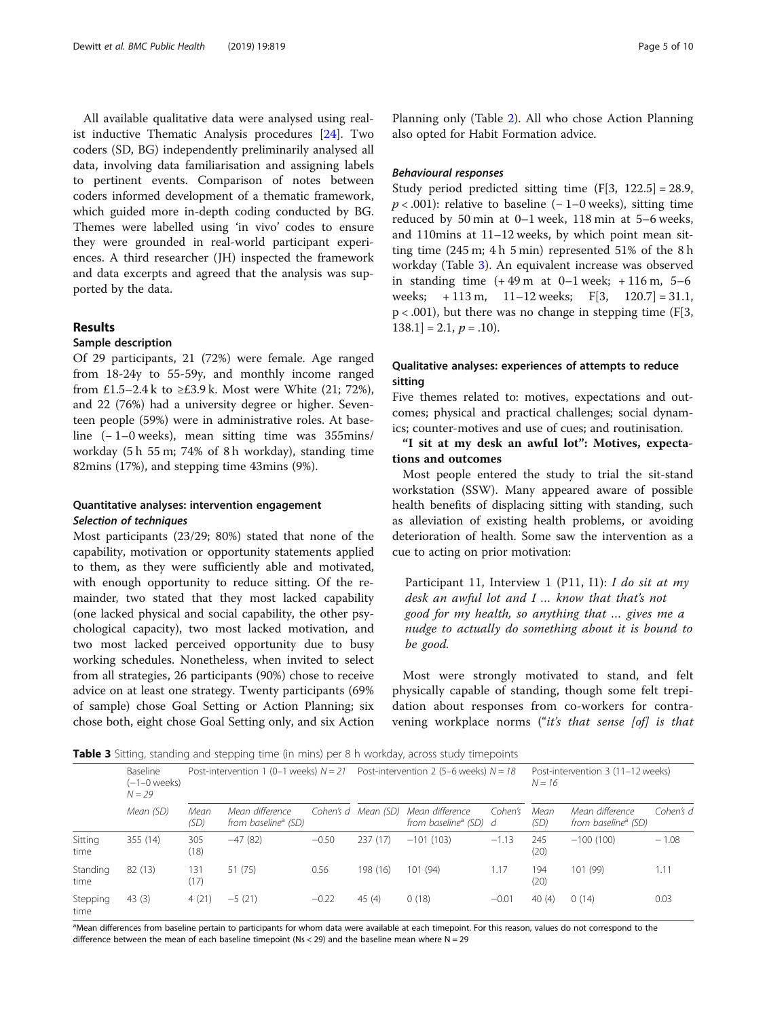All available qualitative data were analysed using realist inductive Thematic Analysis procedures [\[24](#page-9-0)]. Two coders (SD, BG) independently preliminarily analysed all data, involving data familiarisation and assigning labels to pertinent events. Comparison of notes between coders informed development of a thematic framework, which guided more in-depth coding conducted by BG. Themes were labelled using 'in vivo' codes to ensure they were grounded in real-world participant experiences. A third researcher (JH) inspected the framework and data excerpts and agreed that the analysis was supported by the data.

## Results

## Sample description

Of 29 participants, 21 (72%) were female. Age ranged from 18-24y to 55-59y, and monthly income ranged from £1.5–2.4 k to  $\geq$ £3.9 k. Most were White (21; 72%), and 22 (76%) had a university degree or higher. Seventeen people (59%) were in administrative roles. At baseline (− 1–0 weeks), mean sitting time was 355mins/ workday (5 h 55 m; 74% of 8 h workday), standing time 82mins (17%), and stepping time 43mins (9%).

## Quantitative analyses: intervention engagement Selection of techniques

Most participants (23/29; 80%) stated that none of the capability, motivation or opportunity statements applied to them, as they were sufficiently able and motivated, with enough opportunity to reduce sitting. Of the remainder, two stated that they most lacked capability (one lacked physical and social capability, the other psychological capacity), two most lacked motivation, and two most lacked perceived opportunity due to busy working schedules. Nonetheless, when invited to select from all strategies, 26 participants (90%) chose to receive advice on at least one strategy. Twenty participants (69% of sample) chose Goal Setting or Action Planning; six chose both, eight chose Goal Setting only, and six Action

Planning only (Table [2](#page-3-0)). All who chose Action Planning also opted for Habit Formation advice.

## Behavioural responses

Study period predicted sitting time  $(F[3, 122.5] = 28.9$ ,  $p < .001$ ): relative to baseline (−1–0 weeks), sitting time reduced by 50 min at 0–1 week, 118 min at 5–6 weeks, and 110mins at 11–12 weeks, by which point mean sitting time (245 m; 4 h 5 min) represented 51% of the 8 h workday (Table 3). An equivalent increase was observed in standing time  $(+49 \text{ m at } 0-1 \text{ week}; +116 \text{ m}, 5-6$ weeks; + 113 m, 11–12 weeks; F[3, 120.7] = 31.1,  $p < .001$ ), but there was no change in stepping time (F[3,  $138.1$ ] = 2.1,  $p = .10$ ).

## Qualitative analyses: experiences of attempts to reduce sitting

Five themes related to: motives, expectations and outcomes; physical and practical challenges; social dynamics; counter-motives and use of cues; and routinisation.

## "I sit at my desk an awful lot": Motives, expectations and outcomes

Most people entered the study to trial the sit-stand workstation (SSW). Many appeared aware of possible health benefits of displacing sitting with standing, such as alleviation of existing health problems, or avoiding deterioration of health. Some saw the intervention as a cue to acting on prior motivation:

Participant 11, Interview 1 (P11, I1): I do sit at my desk an awful lot and I … know that that's not good for my health, so anything that … gives me a nudge to actually do something about it is bound to be good.

Most were strongly motivated to stand, and felt physically capable of standing, though some felt trepidation about responses from co-workers for contravening workplace norms ("it's that sense [of] is that

**Table 3** Sitting, standing and stepping time (in mins) per 8 h workday, across study timepoints

|                  | <b>Baseline</b><br>(–1–0 weeks)<br>$N = 29$<br>Mean (SD) | Post-intervention 1 (0–1 weeks) $N = 21$ Post-intervention 2 (5–6 weeks) $N = 18$ |                                                    |           |           |                                                      | Post-intervention 3 (11-12 weeks)<br>$N = 16$ |              |                                                    |           |
|------------------|----------------------------------------------------------|-----------------------------------------------------------------------------------|----------------------------------------------------|-----------|-----------|------------------------------------------------------|-----------------------------------------------|--------------|----------------------------------------------------|-----------|
|                  |                                                          | Mean<br>(SD)                                                                      | Mean difference<br>from baseline <sup>a</sup> (SD) | Cohen's d | Mean (SD) | Mean difference<br>from baseline <sup>a</sup> (SD) d | Cohen's                                       | Mean<br>(SD) | Mean difference<br>from baseline <sup>a</sup> (SD) | Cohen's d |
| Sitting<br>time  | 355 (14)                                                 | 305<br>(18)                                                                       | $-47(82)$                                          | $-0.50$   | 237(17)   | $-101(103)$                                          | $-1.13$                                       | 245<br>(20)  | $-100(100)$                                        | $-1.08$   |
| Standing<br>time | 82(13)                                                   | 131<br>(17)                                                                       | 51 (75)                                            | 0.56      | 198 (16)  | 101(94)                                              | 1.17                                          | 194<br>(20)  | 101 (99)                                           | 1.11      |
| Stepping<br>time | 43(3)                                                    | 4(21)                                                                             | $-5(21)$                                           | $-0.22$   | 45(4)     | 0(18)                                                | $-0.01$                                       | 40(4)        | 0(14)                                              | 0.03      |

<sup>a</sup>Mean differences from baseline pertain to participants for whom data were available at each timepoint. For this reason, values do not correspond to the difference between the mean of each baseline timepoint (Ns < 29) and the baseline mean where  $N = 29$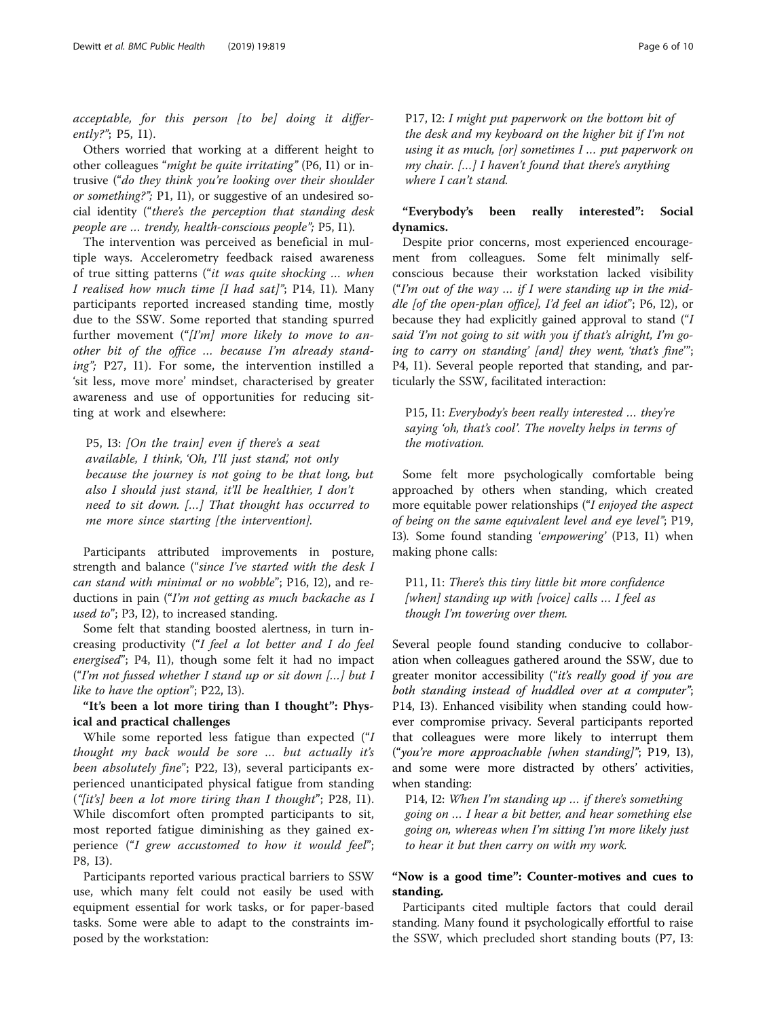acceptable, for this person [to be] doing it differently?"; P5, I1).

Others worried that working at a different height to other colleagues "might be quite irritating" (P6, I1) or intrusive ("do they think you're looking over their shoulder or something?"; P1, I1), or suggestive of an undesired social identity ("there's the perception that standing desk people are … trendy, health-conscious people"; P5, I1).

The intervention was perceived as beneficial in multiple ways. Accelerometry feedback raised awareness of true sitting patterns ("it was quite shocking … when I realised how much time [I had sat]"; P14, I1). Many participants reported increased standing time, mostly due to the SSW. Some reported that standing spurred further movement (" $[Im]$  more likely to move to another bit of the office … because I'm already standing"; P27, I1). For some, the intervention instilled a 'sit less, move more' mindset, characterised by greater awareness and use of opportunities for reducing sitting at work and elsewhere:

P5, I3: [On the train] even if there's a seat available, I think, 'Oh, I'll just stand', not only because the journey is not going to be that long, but also I should just stand, it'll be healthier, I don't need to sit down. […] That thought has occurred to me more since starting [the intervention].

Participants attributed improvements in posture, strength and balance ("since I've started with the desk I can stand with minimal or no wobble"; P16, I2), and reductions in pain ("I'm not getting as much backache as I used to"; P3, I2), to increased standing.

Some felt that standing boosted alertness, in turn increasing productivity ("I feel a lot better and I do feel energised"; P4, I1), though some felt it had no impact ("I'm not fussed whether I stand up or sit down […] but I like to have the option"; P22, I3).

"It's been a lot more tiring than I thought": Physical and practical challenges

While some reported less fatigue than expected ("I thought my back would be sore … but actually it's been absolutely fine"; P22, I3), several participants experienced unanticipated physical fatigue from standing ("[it's] been a lot more tiring than I thought"; P28, I1). While discomfort often prompted participants to sit, most reported fatigue diminishing as they gained experience ("I grew accustomed to how it would feel"; P8, I3).

Participants reported various practical barriers to SSW use, which many felt could not easily be used with equipment essential for work tasks, or for paper-based tasks. Some were able to adapt to the constraints imposed by the workstation:

P17, I2: I might put paperwork on the bottom bit of the desk and my keyboard on the higher bit if I'm not using it as much, [or] sometimes I … put paperwork on my chair. […] I haven't found that there's anything where I can't stand.

## "Everybody's been really interested": Social dynamics.

Despite prior concerns, most experienced encouragement from colleagues. Some felt minimally selfconscious because their workstation lacked visibility ("I'm out of the way  $\ldots$  if I were standing up in the middle [of the open-plan office], I'd feel an idiot"; P6, I2), or because they had explicitly gained approval to stand ("I said 'I'm not going to sit with you if that's alright, I'm going to carry on standing' [and] they went, 'that's fine'"; P4, I1). Several people reported that standing, and particularly the SSW, facilitated interaction:

P15, I1: Everybody's been really interested … they're saying 'oh, that's cool'. The novelty helps in terms of the motivation.

Some felt more psychologically comfortable being approached by others when standing, which created more equitable power relationships ("I enjoyed the aspect of being on the same equivalent level and eye level"; P19, I3). Some found standing 'empowering' (P13, I1) when making phone calls:

P11, I1: There's this tiny little bit more confidence  $[when]$  standing up with  $[voice]$  calls  $\ldots$  I feel as though I'm towering over them.

Several people found standing conducive to collaboration when colleagues gathered around the SSW, due to greater monitor accessibility ("it's really good if you are both standing instead of huddled over at a computer"; P14, I3). Enhanced visibility when standing could however compromise privacy. Several participants reported that colleagues were more likely to interrupt them ("you're more approachable [when standing]"; P19, I3), and some were more distracted by others' activities, when standing:

P14, I2: When I'm standing up … if there's something going on … I hear a bit better, and hear something else going on, whereas when I'm sitting I'm more likely just to hear it but then carry on with my work.

## "Now is a good time": Counter-motives and cues to standing.

Participants cited multiple factors that could derail standing. Many found it psychologically effortful to raise the SSW, which precluded short standing bouts (P7, I3: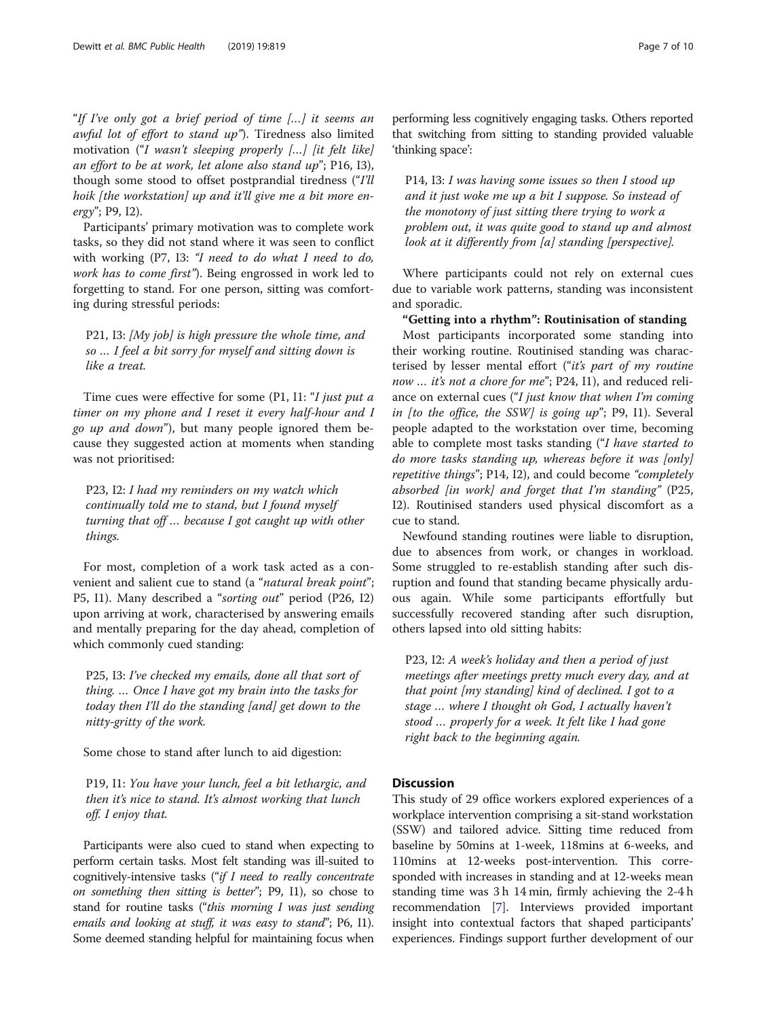"If I've only got a brief period of time […] it seems an awful lot of effort to stand up"). Tiredness also limited motivation ("I wasn't sleeping properly […] [it felt like] an effort to be at work, let alone also stand up"; P16, I3), though some stood to offset postprandial tiredness ("I'll hoik [the workstation] up and it'll give me a bit more energy"; P9, I2).

Participants' primary motivation was to complete work tasks, so they did not stand where it was seen to conflict with working (P7, I3: "I need to do what I need to do, work has to come first"). Being engrossed in work led to forgetting to stand. For one person, sitting was comforting during stressful periods:

P21, I3: [My job] is high pressure the whole time, and so … I feel a bit sorry for myself and sitting down is like a treat.

Time cues were effective for some (P1, I1: "I just put a timer on my phone and I reset it every half-hour and I go up and down"), but many people ignored them because they suggested action at moments when standing was not prioritised:

P23, I2: I had my reminders on my watch which continually told me to stand, but I found myself turning that off … because I got caught up with other things.

For most, completion of a work task acted as a convenient and salient cue to stand (a "natural break point"; P5, I1). Many described a "sorting out" period (P26, I2) upon arriving at work, characterised by answering emails and mentally preparing for the day ahead, completion of which commonly cued standing:

P25, I3: I've checked my emails, done all that sort of thing. … Once I have got my brain into the tasks for today then I'll do the standing [and] get down to the nitty-gritty of the work.

Some chose to stand after lunch to aid digestion:

P19, I1: You have your lunch, feel a bit lethargic, and then it's nice to stand. It's almost working that lunch off. I enjoy that.

Participants were also cued to stand when expecting to perform certain tasks. Most felt standing was ill-suited to cognitively-intensive tasks ("if I need to really concentrate on something then sitting is better"; P9, I1), so chose to stand for routine tasks ("this morning I was just sending emails and looking at stuff, it was easy to stand"; P6, I1). Some deemed standing helpful for maintaining focus when performing less cognitively engaging tasks. Others reported that switching from sitting to standing provided valuable 'thinking space':

P14, I3: I was having some issues so then I stood up and it just woke me up a bit I suppose. So instead of the monotony of just sitting there trying to work a problem out, it was quite good to stand up and almost look at it differently from [a] standing [perspective].

Where participants could not rely on external cues due to variable work patterns, standing was inconsistent and sporadic.

"Getting into a rhythm": Routinisation of standing Most participants incorporated some standing into their working routine. Routinised standing was characterised by lesser mental effort ("it's part of my routine now ... it's not a chore for me"; P24, I1), and reduced reliance on external cues ("I just know that when I'm coming in [to the office, the SSW] is going  $up$ "; P9, I1). Several people adapted to the workstation over time, becoming able to complete most tasks standing ("I have started to do more tasks standing up, whereas before it was [only] repetitive things"; P14, I2), and could become "completely absorbed [in work] and forget that I'm standing"  $(P25,$ I2). Routinised standers used physical discomfort as a cue to stand.

Newfound standing routines were liable to disruption, due to absences from work, or changes in workload. Some struggled to re-establish standing after such disruption and found that standing became physically arduous again. While some participants effortfully but successfully recovered standing after such disruption, others lapsed into old sitting habits:

P23, I2: A week's holiday and then a period of just meetings after meetings pretty much every day, and at that point [my standing] kind of declined. I got to a stage … where I thought oh God, I actually haven't stood … properly for a week. It felt like I had gone right back to the beginning again.

## **Discussion**

This study of 29 office workers explored experiences of a workplace intervention comprising a sit-stand workstation (SSW) and tailored advice. Sitting time reduced from baseline by 50mins at 1-week, 118mins at 6-weeks, and 110mins at 12-weeks post-intervention. This corresponded with increases in standing and at 12-weeks mean standing time was 3 h 14 min, firmly achieving the 2-4 h recommendation [\[7\]](#page-8-0). Interviews provided important insight into contextual factors that shaped participants' experiences. Findings support further development of our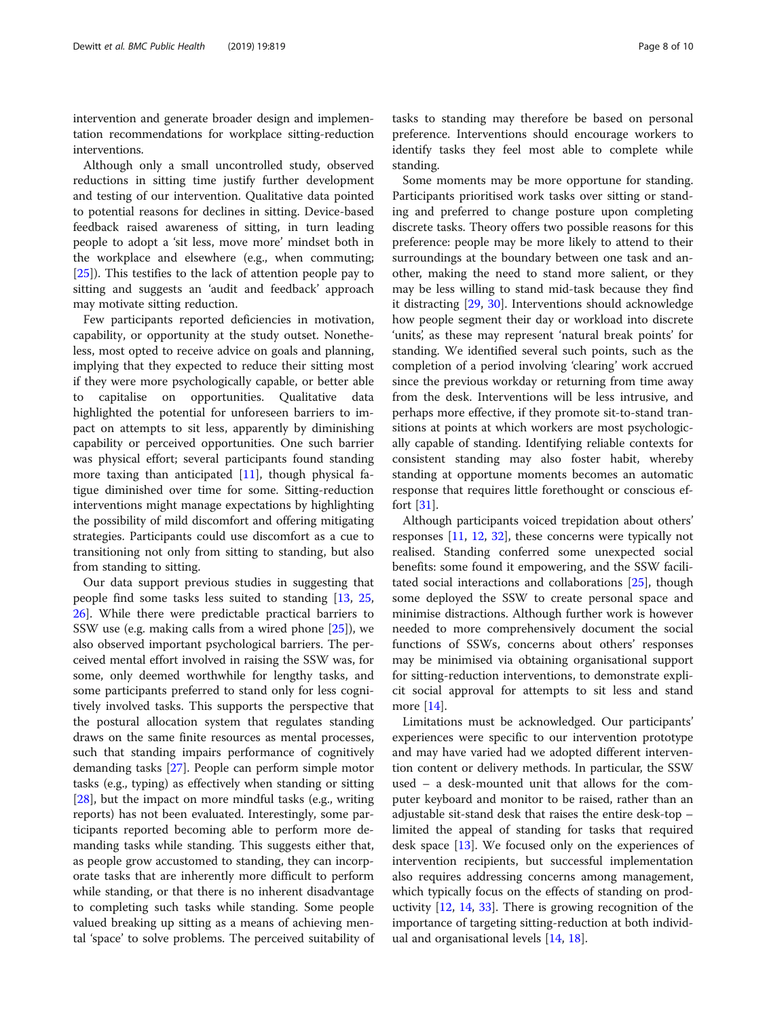intervention and generate broader design and implementation recommendations for workplace sitting-reduction interventions.

Although only a small uncontrolled study, observed reductions in sitting time justify further development and testing of our intervention. Qualitative data pointed to potential reasons for declines in sitting. Device-based feedback raised awareness of sitting, in turn leading people to adopt a 'sit less, move more' mindset both in the workplace and elsewhere (e.g., when commuting; [[25\]](#page-9-0)). This testifies to the lack of attention people pay to sitting and suggests an 'audit and feedback' approach may motivate sitting reduction.

Few participants reported deficiencies in motivation, capability, or opportunity at the study outset. Nonetheless, most opted to receive advice on goals and planning, implying that they expected to reduce their sitting most if they were more psychologically capable, or better able to capitalise on opportunities. Qualitative data highlighted the potential for unforeseen barriers to impact on attempts to sit less, apparently by diminishing capability or perceived opportunities. One such barrier was physical effort; several participants found standing more taxing than anticipated  $[11]$  $[11]$  $[11]$ , though physical fatigue diminished over time for some. Sitting-reduction interventions might manage expectations by highlighting the possibility of mild discomfort and offering mitigating strategies. Participants could use discomfort as a cue to transitioning not only from sitting to standing, but also from standing to sitting.

Our data support previous studies in suggesting that people find some tasks less suited to standing [\[13,](#page-9-0) [25](#page-9-0), [26\]](#page-9-0). While there were predictable practical barriers to SSW use (e.g. making calls from a wired phone [[25\]](#page-9-0)), we also observed important psychological barriers. The perceived mental effort involved in raising the SSW was, for some, only deemed worthwhile for lengthy tasks, and some participants preferred to stand only for less cognitively involved tasks. This supports the perspective that the postural allocation system that regulates standing draws on the same finite resources as mental processes, such that standing impairs performance of cognitively demanding tasks [\[27](#page-9-0)]. People can perform simple motor tasks (e.g., typing) as effectively when standing or sitting [[28\]](#page-9-0), but the impact on more mindful tasks (e.g., writing reports) has not been evaluated. Interestingly, some participants reported becoming able to perform more demanding tasks while standing. This suggests either that, as people grow accustomed to standing, they can incorporate tasks that are inherently more difficult to perform while standing, or that there is no inherent disadvantage to completing such tasks while standing. Some people valued breaking up sitting as a means of achieving mental 'space' to solve problems. The perceived suitability of

tasks to standing may therefore be based on personal preference. Interventions should encourage workers to identify tasks they feel most able to complete while standing.

Some moments may be more opportune for standing. Participants prioritised work tasks over sitting or standing and preferred to change posture upon completing discrete tasks. Theory offers two possible reasons for this preference: people may be more likely to attend to their surroundings at the boundary between one task and another, making the need to stand more salient, or they may be less willing to stand mid-task because they find it distracting [[29](#page-9-0), [30\]](#page-9-0). Interventions should acknowledge how people segment their day or workload into discrete 'units', as these may represent 'natural break points' for standing. We identified several such points, such as the completion of a period involving 'clearing' work accrued since the previous workday or returning from time away from the desk. Interventions will be less intrusive, and perhaps more effective, if they promote sit-to-stand transitions at points at which workers are most psychologically capable of standing. Identifying reliable contexts for consistent standing may also foster habit, whereby standing at opportune moments becomes an automatic response that requires little forethought or conscious effort [[31](#page-9-0)].

Although participants voiced trepidation about others' responses [[11,](#page-8-0) [12](#page-8-0), [32\]](#page-9-0), these concerns were typically not realised. Standing conferred some unexpected social benefits: some found it empowering, and the SSW facilitated social interactions and collaborations [[25](#page-9-0)], though some deployed the SSW to create personal space and minimise distractions. Although further work is however needed to more comprehensively document the social functions of SSWs, concerns about others' responses may be minimised via obtaining organisational support for sitting-reduction interventions, to demonstrate explicit social approval for attempts to sit less and stand more [\[14](#page-9-0)].

Limitations must be acknowledged. Our participants' experiences were specific to our intervention prototype and may have varied had we adopted different intervention content or delivery methods. In particular, the SSW used – a desk-mounted unit that allows for the computer keyboard and monitor to be raised, rather than an adjustable sit-stand desk that raises the entire desk-top – limited the appeal of standing for tasks that required desk space  $[13]$  $[13]$ . We focused only on the experiences of intervention recipients, but successful implementation also requires addressing concerns among management, which typically focus on the effects of standing on productivity [\[12](#page-8-0), [14,](#page-9-0) [33\]](#page-9-0). There is growing recognition of the importance of targeting sitting-reduction at both individual and organisational levels [[14](#page-9-0), [18](#page-9-0)].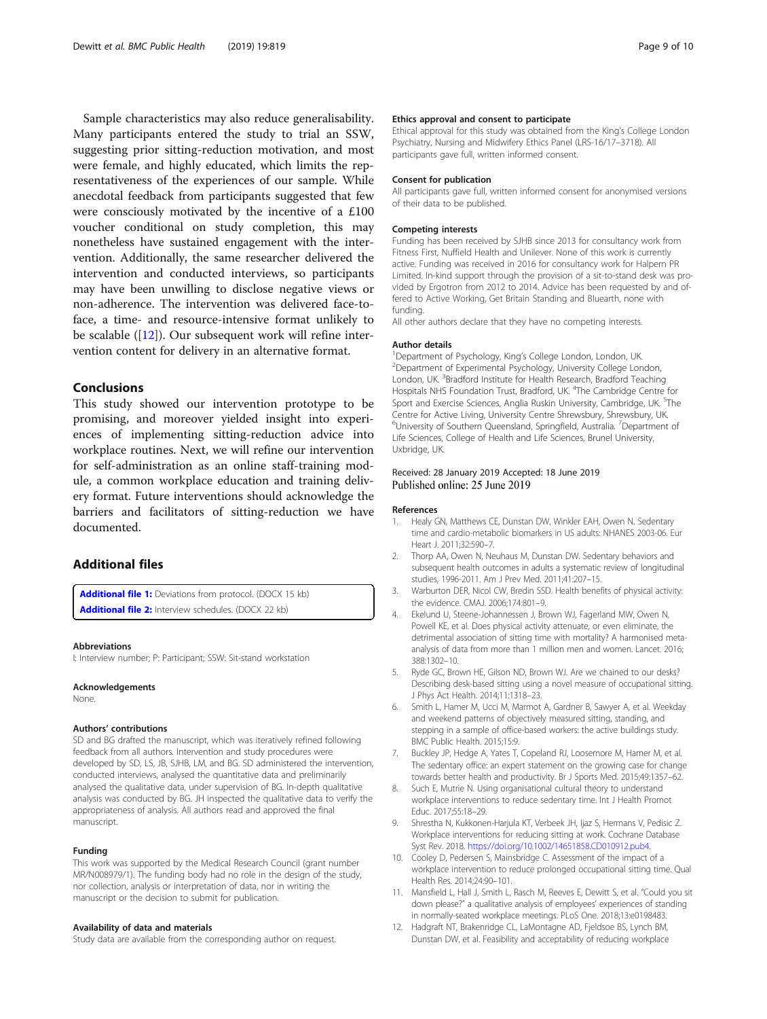<span id="page-8-0"></span>Sample characteristics may also reduce generalisability. Many participants entered the study to trial an SSW, suggesting prior sitting-reduction motivation, and most were female, and highly educated, which limits the representativeness of the experiences of our sample. While anecdotal feedback from participants suggested that few were consciously motivated by the incentive of a £100 voucher conditional on study completion, this may nonetheless have sustained engagement with the intervention. Additionally, the same researcher delivered the intervention and conducted interviews, so participants may have been unwilling to disclose negative views or non-adherence. The intervention was delivered face-toface, a time- and resource-intensive format unlikely to be scalable ([12]). Our subsequent work will refine intervention content for delivery in an alternative format.

## Conclusions

This study showed our intervention prototype to be promising, and moreover yielded insight into experiences of implementing sitting-reduction advice into workplace routines. Next, we will refine our intervention for self-administration as an online staff-training module, a common workplace education and training delivery format. Future interventions should acknowledge the barriers and facilitators of sitting-reduction we have documented.

## Additional files

[Additional file 1:](https://doi.org/10.1186/s12889-019-7196-0) Deviations from protocol. (DOCX 15 kb) [Additional file 2:](https://doi.org/10.1186/s12889-019-7196-0) Interview schedules. (DOCX 22 kb)

#### Abbreviations

I: Interview number; P: Participant; SSW: Sit-stand workstation

#### Acknowledgements

None.

#### Authors' contributions

SD and BG drafted the manuscript, which was iteratively refined following feedback from all authors. Intervention and study procedures were developed by SD, LS, JB, SJHB, LM, and BG. SD administered the intervention, conducted interviews, analysed the quantitative data and preliminarily analysed the qualitative data, under supervision of BG. In-depth qualitative analysis was conducted by BG. JH inspected the qualitative data to verify the appropriateness of analysis. All authors read and approved the final manuscript.

#### Funding

This work was supported by the Medical Research Council (grant number MR/N008979/1). The funding body had no role in the design of the study, nor collection, analysis or interpretation of data, nor in writing the manuscript or the decision to submit for publication.

#### Availability of data and materials

Study data are available from the corresponding author on request.

#### Ethics approval and consent to participate

Ethical approval for this study was obtained from the King's College London Psychiatry, Nursing and Midwifery Ethics Panel (LRS-16/17–3718). All participants gave full, written informed consent.

#### Consent for publication

All participants gave full, written informed consent for anonymised versions of their data to be published.

#### Competing interests

Funding has been received by SJHB since 2013 for consultancy work from Fitness First, Nuffield Health and Unilever. None of this work is currently active. Funding was received in 2016 for consultancy work for Halpern PR Limited. In-kind support through the provision of a sit-to-stand desk was provided by Ergotron from 2012 to 2014. Advice has been requested by and offered to Active Working, Get Britain Standing and Bluearth, none with funding.

All other authors declare that they have no competing interests.

#### Author details

<sup>1</sup> Department of Psychology, King's College London, London, UK<sup>2</sup> Department of Experimental Psychology, University College Lon <sup>2</sup>Department of Experimental Psychology, University College London, London, UK.<sup>3</sup> Bradford Institute for Health Research, Bradford Teaching Hospitals NHS Foundation Trust, Bradford, UK. <sup>4</sup>The Cambridge Centre for Sport and Exercise Sciences, Anglia Ruskin University, Cambridge, UK. <sup>5</sup>The Centre for Active Living, University Centre Shrewsbury, Shrewsbury, UK. <sup>6</sup>University of Southern Queensland, Springfield, Australia. <sup>7</sup>Department of Life Sciences, College of Health and Life Sciences, Brunel University, Uxbridge, UK.

#### Received: 28 January 2019 Accepted: 18 June 2019 Published online: 25 June 2019

#### References

- 1. Healy GN, Matthews CE, Dunstan DW, Winkler EAH, Owen N. Sedentary time and cardio-metabolic biomarkers in US adults: NHANES 2003-06. Eur Heart J. 2011;32:590–7.
- 2. Thorp AA, Owen N, Neuhaus M, Dunstan DW. Sedentary behaviors and subsequent health outcomes in adults a systematic review of longitudinal studies, 1996-2011. Am J Prev Med. 2011;41:207–15.
- 3. Warburton DER, Nicol CW, Bredin SSD. Health benefits of physical activity: the evidence. CMAJ. 2006;174:801–9.
- 4. Ekelund U, Steene-Johannessen J, Brown WJ, Fagerland MW, Owen N, Powell KE, et al. Does physical activity attenuate, or even eliminate, the detrimental association of sitting time with mortality? A harmonised metaanalysis of data from more than 1 million men and women. Lancet. 2016; 388:1302–10.
- Ryde GC, Brown HE, Gilson ND, Brown WJ. Are we chained to our desks? Describing desk-based sitting using a novel measure of occupational sitting. J Phys Act Health. 2014;11:1318–23.
- 6. Smith L, Hamer M, Ucci M, Marmot A, Gardner B, Sawyer A, et al. Weekday and weekend patterns of objectively measured sitting, standing, and stepping in a sample of office-based workers: the active buildings study. BMC Public Health. 2015;15:9.
- Buckley JP, Hedge A, Yates T, Copeland RJ, Loosemore M, Hamer M, et al. The sedentary office: an expert statement on the growing case for change towards better health and productivity. Br J Sports Med. 2015;49:1357–62.
- 8. Such E, Mutrie N. Using organisational cultural theory to understand workplace interventions to reduce sedentary time. Int J Health Promot Educ. 2017;55:18–29.
- 9. Shrestha N, Kukkonen-Harjula KT, Verbeek JH, Ijaz S, Hermans V, Pedisic Z. Workplace interventions for reducing sitting at work. Cochrane Database Syst Rev. 2018. <https://doi.org/10.1002/14651858.CD010912.pub4.>
- 10. Cooley D, Pedersen S, Mainsbridge C. Assessment of the impact of a workplace intervention to reduce prolonged occupational sitting time. Qual Health Res. 2014;24:90–101.
- 11. Mansfield L, Hall J, Smith L, Rasch M, Reeves E, Dewitt S, et al. "Could you sit down please?" a qualitative analysis of employees' experiences of standing in normally-seated workplace meetings. PLoS One. 2018;13:e0198483.
- 12. Hadgraft NT, Brakenridge CL, LaMontagne AD, Fjeldsoe BS, Lynch BM, Dunstan DW, et al. Feasibility and acceptability of reducing workplace